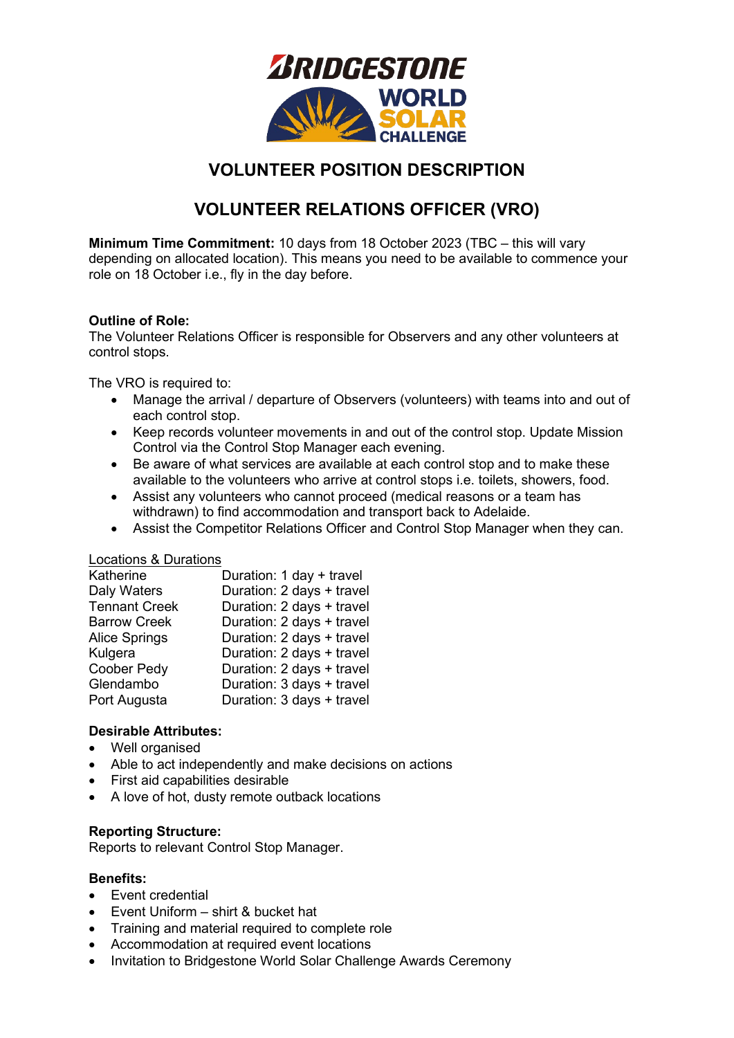

# **VOLUNTEER POSITION DESCRIPTION**

# **VOLUNTEER RELATIONS OFFICER (VRO)**

**Minimum Time Commitment:** 10 days from 18 October 2023 (TBC – this will vary depending on allocated location). This means you need to be available to commence your role on 18 October i.e., fly in the day before.

### **Outline of Role:**

The Volunteer Relations Officer is responsible for Observers and any other volunteers at control stops.

The VRO is required to:

- Manage the arrival / departure of Observers (volunteers) with teams into and out of each control stop.
- Keep records volunteer movements in and out of the control stop. Update Mission Control via the Control Stop Manager each evening.
- Be aware of what services are available at each control stop and to make these available to the volunteers who arrive at control stops i.e. toilets, showers, food.
- Assist any volunteers who cannot proceed (medical reasons or a team has withdrawn) to find accommodation and transport back to Adelaide.
- Assist the Competitor Relations Officer and Control Stop Manager when they can.

#### Locations & Durations

| Katherine            | Duration: 1 day + travel  |
|----------------------|---------------------------|
| Daly Waters          | Duration: 2 days + travel |
| <b>Tennant Creek</b> | Duration: 2 days + travel |
| <b>Barrow Creek</b>  | Duration: 2 days + travel |
| <b>Alice Springs</b> | Duration: 2 days + travel |
| Kulgera              | Duration: 2 days + travel |
| Coober Pedy          | Duration: 2 days + travel |
| Glendambo            | Duration: 3 days + travel |
| Port Augusta         | Duration: 3 days + travel |

#### **Desirable Attributes:**

- Well organised
- Able to act independently and make decisions on actions
- First aid capabilities desirable
- A love of hot, dusty remote outback locations

#### **Reporting Structure:**

Reports to relevant Control Stop Manager.

#### **Benefits:**

- Event credential
- Event Uniform shirt & bucket hat
- Training and material required to complete role
- Accommodation at required event locations
- Invitation to Bridgestone World Solar Challenge Awards Ceremony